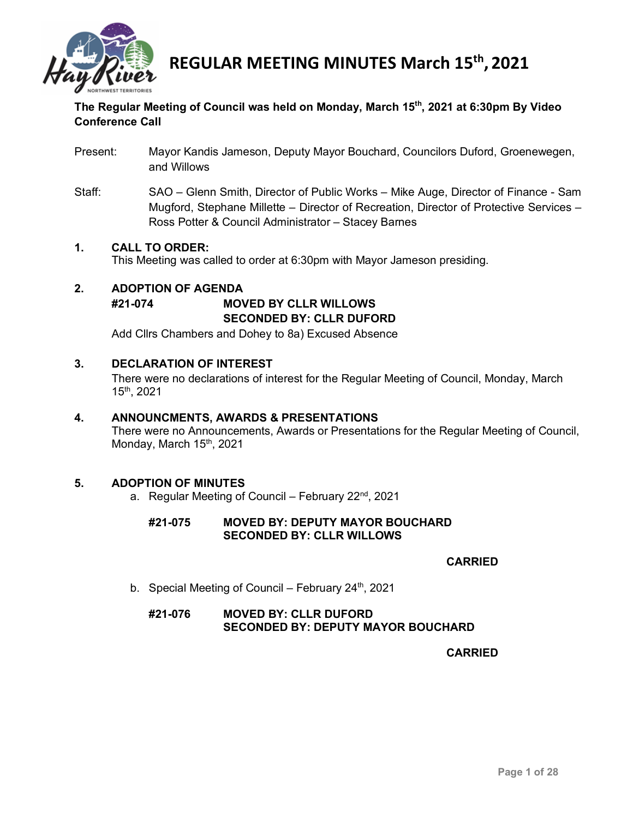

# **The Regular Meeting of Council was held on Monday, March 15th, 2021 at 6:30pm By Video Conference Call**

- Present: Mayor Kandis Jameson, Deputy Mayor Bouchard, Councilors Duford, Groenewegen, and Willows
- Staff: SAO Glenn Smith, Director of Public Works Mike Auge, Director of Finance Sam Mugford, Stephane Millette – Director of Recreation, Director of Protective Services – Ross Potter & Council Administrator – Stacey Barnes

### **1. CALL TO ORDER:**

This Meeting was called to order at 6:30pm with Mayor Jameson presiding.

# **2. ADOPTION OF AGENDA #21-074 MOVED BY CLLR WILLOWS SECONDED BY: CLLR DUFORD**

Add Cllrs Chambers and Dohey to 8a) Excused Absence

### **3. DECLARATION OF INTEREST**

There were no declarations of interest for the Regular Meeting of Council, Monday, March 15th, 2021

#### **4. ANNOUNCMENTS, AWARDS & PRESENTATIONS**

There were no Announcements, Awards or Presentations for the Regular Meeting of Council, Monday, March 15<sup>th</sup>, 2021

# **5. ADOPTION OF MINUTES**

a. Regular Meeting of Council – February  $22<sup>nd</sup>$ , 2021

### **#21-075 MOVED BY: DEPUTY MAYOR BOUCHARD SECONDED BY: CLLR WILLOWS**

# **CARRIED**

b. Special Meeting of Council – February  $24<sup>th</sup>$ , 2021

# **#21-076 MOVED BY: CLLR DUFORD SECONDED BY: DEPUTY MAYOR BOUCHARD**

#### **CARRIED**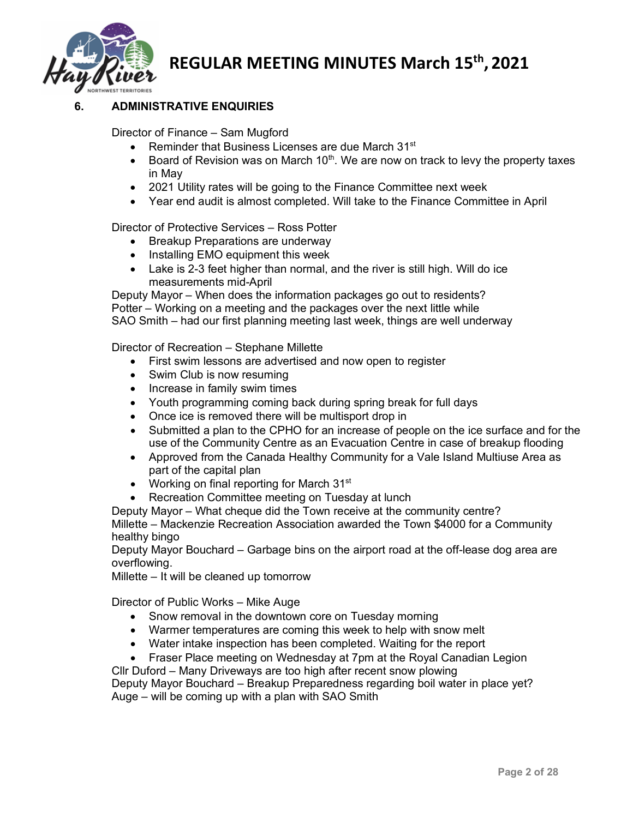

# **6. ADMINISTRATIVE ENQUIRIES**

Director of Finance – Sam Mugford

- Reminder that Business Licenses are due March 31<sup>st</sup>
- Board of Revision was on March  $10<sup>th</sup>$ . We are now on track to levy the property taxes in May
- 2021 Utility rates will be going to the Finance Committee next week
- Year end audit is almost completed. Will take to the Finance Committee in April

Director of Protective Services – Ross Potter

- Breakup Preparations are underway
- Installing EMO equipment this week
- Lake is 2-3 feet higher than normal, and the river is still high. Will do ice measurements mid-April

Deputy Mayor – When does the information packages go out to residents? Potter – Working on a meeting and the packages over the next little while SAO Smith – had our first planning meeting last week, things are well underway

Director of Recreation – Stephane Millette

- First swim lessons are advertised and now open to register
- Swim Club is now resuming
- Increase in family swim times
- Youth programming coming back during spring break for full days
- Once ice is removed there will be multisport drop in
- Submitted a plan to the CPHO for an increase of people on the ice surface and for the use of the Community Centre as an Evacuation Centre in case of breakup flooding
- Approved from the Canada Healthy Community for a Vale Island Multiuse Area as part of the capital plan
- Working on final reporting for March 31<sup>st</sup>
- Recreation Committee meeting on Tuesday at lunch

Deputy Mayor – What cheque did the Town receive at the community centre? Millette – Mackenzie Recreation Association awarded the Town \$4000 for a Community healthy bingo

Deputy Mayor Bouchard – Garbage bins on the airport road at the off-lease dog area are overflowing.

Millette – It will be cleaned up tomorrow

Director of Public Works – Mike Auge

- Snow removal in the downtown core on Tuesday morning
- Warmer temperatures are coming this week to help with snow melt
- Water intake inspection has been completed. Waiting for the report
- Fraser Place meeting on Wednesday at 7pm at the Royal Canadian Legion

Cllr Duford – Many Driveways are too high after recent snow plowing

Deputy Mayor Bouchard – Breakup Preparedness regarding boil water in place yet? Auge – will be coming up with a plan with SAO Smith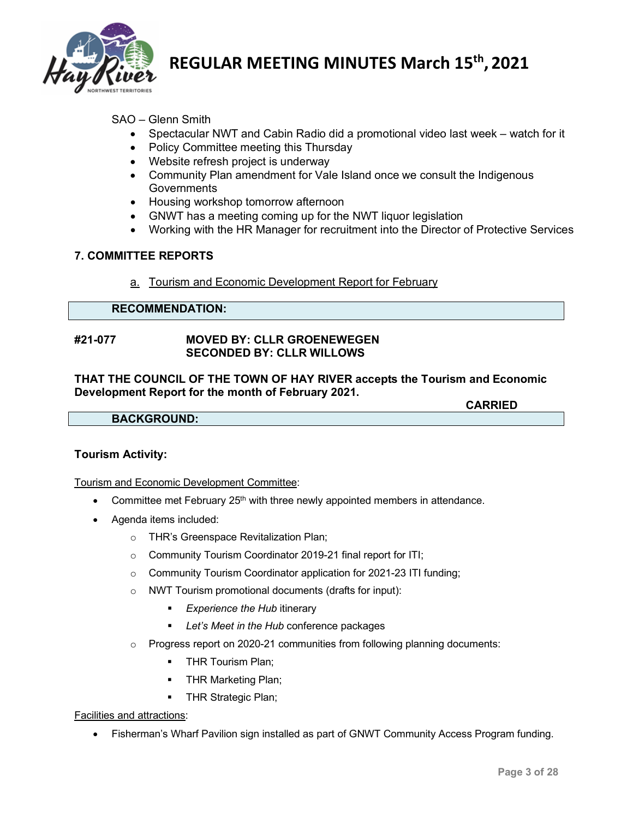

# SAO – Glenn Smith

- Spectacular NWT and Cabin Radio did a promotional video last week watch for it
- Policy Committee meeting this Thursday
- Website refresh project is underway
- Community Plan amendment for Vale Island once we consult the Indigenous **Governments**
- Housing workshop tomorrow afternoon
- GNWT has a meeting coming up for the NWT liquor legislation
- Working with the HR Manager for recruitment into the Director of Protective Services

### **7. COMMITTEE REPORTS**

a. Tourism and Economic Development Report for February

# **RECOMMENDATION:**

#### **#21-077 MOVED BY: CLLR GROENEWEGEN SECONDED BY: CLLR WILLOWS**

#### **THAT THE COUNCIL OF THE TOWN OF HAY RIVER accepts the Tourism and Economic Development Report for the month of February 2021.**

**CARRIED**

**BACKGROUND:**

#### **Tourism Activity:**

Tourism and Economic Development Committee:

- Committee met February 25<sup>th</sup> with three newly appointed members in attendance.
- Agenda items included:
	- o THR's Greenspace Revitalization Plan;
	- o Community Tourism Coordinator 2019-21 final report for ITI;
	- o Community Tourism Coordinator application for 2021-23 ITI funding;
	- o NWT Tourism promotional documents (drafts for input):
		- *Experience the Hub* itinerary
		- *Let's Meet in the Hub* conference packages
	- $\circ$  Progress report on 2020-21 communities from following planning documents:
		- **THR Tourism Plan;**
		- **THR Marketing Plan;**
		- **THR Strategic Plan;**

#### Facilities and attractions:

• Fisherman's Wharf Pavilion sign installed as part of GNWT Community Access Program funding.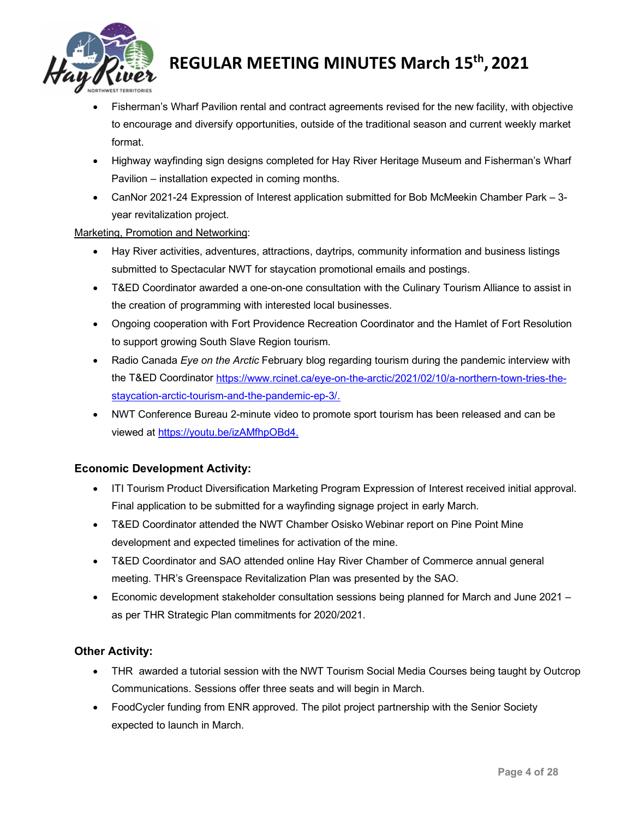

- Fisherman's Wharf Pavilion rental and contract agreements revised for the new facility, with objective to encourage and diversify opportunities, outside of the traditional season and current weekly market format.
- Highway wayfinding sign designs completed for Hay River Heritage Museum and Fisherman's Wharf Pavilion – installation expected in coming months.
- CanNor 2021-24 Expression of Interest application submitted for Bob McMeekin Chamber Park 3 year revitalization project.

# Marketing, Promotion and Networking:

- Hay River activities, adventures, attractions, daytrips, community information and business listings submitted to Spectacular NWT for staycation promotional emails and postings.
- T&ED Coordinator awarded a one-on-one consultation with the Culinary Tourism Alliance to assist in the creation of programming with interested local businesses.
- Ongoing cooperation with Fort Providence Recreation Coordinator and the Hamlet of Fort Resolution to support growing South Slave Region tourism.
- Radio Canada *Eye on the Arctic* February blog regarding tourism during the pandemic interview with the T&ED Coordinator [https://www.rcinet.ca/eye-on-the-arctic/2021/02/10/a-northern-town-tries-the](https://www.rcinet.ca/eye-on-the-arctic/2021/02/10/a-northern-town-tries-the-staycation-arctic-tourism-and-the-pandemic-ep-3/)[staycation-arctic-tourism-and-the-pandemic-ep-3/.](https://www.rcinet.ca/eye-on-the-arctic/2021/02/10/a-northern-town-tries-the-staycation-arctic-tourism-and-the-pandemic-ep-3/)
- NWT Conference Bureau 2-minute video to promote sport tourism has been released and can be viewed at [https://youtu.be/izAMfhpOBd4.](https://youtu.be/izAMfhpOBd4)

# **Economic Development Activity:**

- ITI Tourism Product Diversification Marketing Program Expression of Interest received initial approval. Final application to be submitted for a wayfinding signage project in early March.
- T&ED Coordinator attended the NWT Chamber Osisko Webinar report on Pine Point Mine development and expected timelines for activation of the mine.
- T&ED Coordinator and SAO attended online Hay River Chamber of Commerce annual general meeting. THR's Greenspace Revitalization Plan was presented by the SAO.
- Economic development stakeholder consultation sessions being planned for March and June 2021 as per THR Strategic Plan commitments for 2020/2021.

# **Other Activity:**

- THR awarded a tutorial session with the NWT Tourism Social Media Courses being taught by Outcrop Communications. Sessions offer three seats and will begin in March.
- FoodCycler funding from ENR approved. The pilot project partnership with the Senior Society expected to launch in March.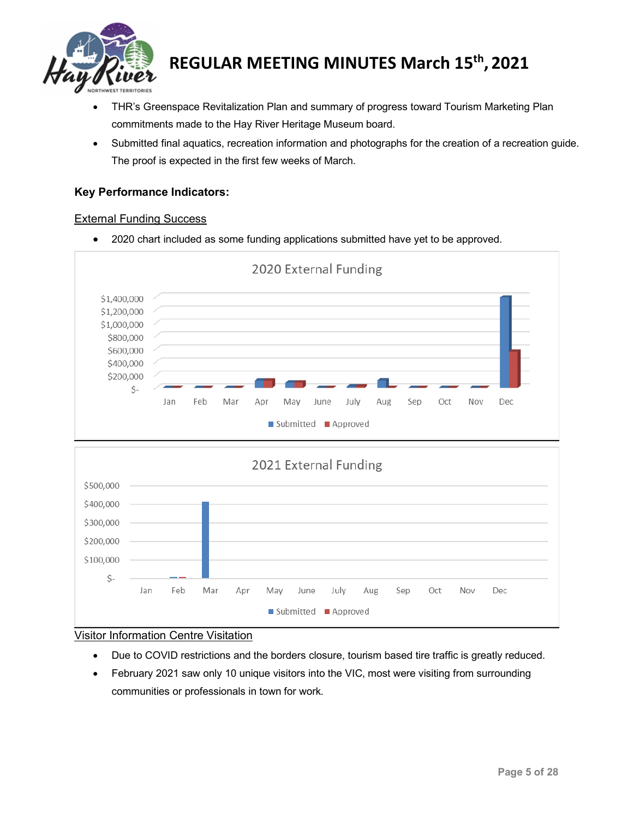

- THR's Greenspace Revitalization Plan and summary of progress toward Tourism Marketing Plan commitments made to the Hay River Heritage Museum board.
- Submitted final aquatics, recreation information and photographs for the creation of a recreation guide. The proof is expected in the first few weeks of March.

# **Key Performance Indicators:**

#### External Funding Success

• 2020 chart included as some funding applications submitted have yet to be approved.



#### Visitor Information Centre Visitation

- Due to COVID restrictions and the borders closure, tourism based tire traffic is greatly reduced.
- February 2021 saw only 10 unique visitors into the VIC, most were visiting from surrounding communities or professionals in town for work.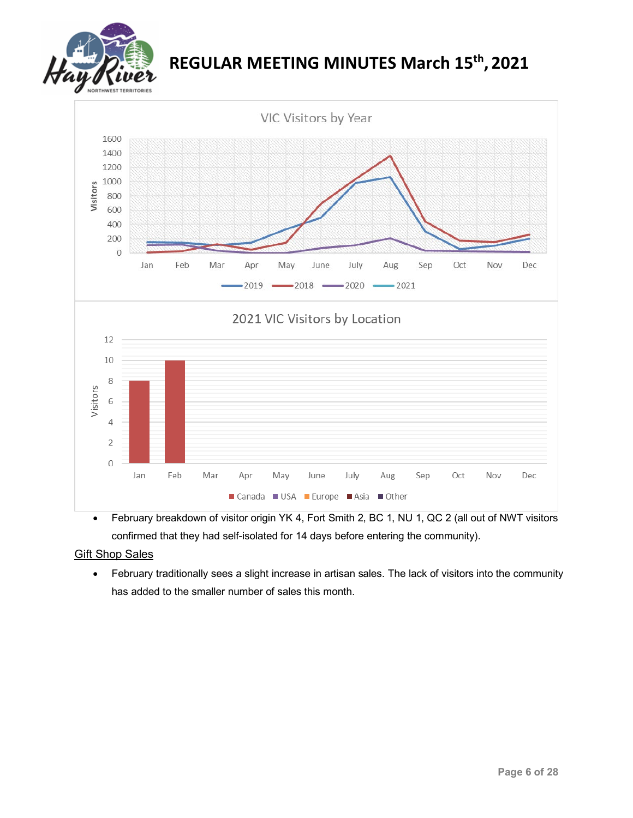



• February breakdown of visitor origin YK 4, Fort Smith 2, BC 1, NU 1, QC 2 (all out of NWT visitors confirmed that they had self-isolated for 14 days before entering the community).

# **Gift Shop Sales**

• February traditionally sees a slight increase in artisan sales. The lack of visitors into the community has added to the smaller number of sales this month.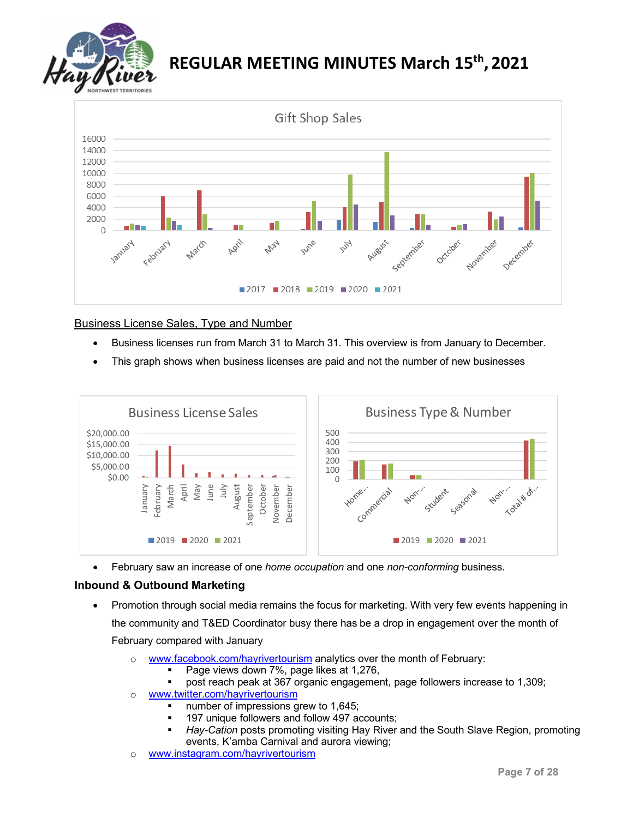



# Business License Sales, Type and Number

- Business licenses run from March 31 to March 31. This overview is from January to December.
- This graph shows when business licenses are paid and not the number of new businesses



• February saw an increase of one *home occupation* and one *non-conforming* business.

# **Inbound & Outbound Marketing**

- Promotion through social media remains the focus for marketing. With very few events happening in the community and T&ED Coordinator busy there has be a drop in engagement over the month of February compared with January
	- o [www.facebook.com/hayrivertourism](http://www.facebook.com/hayrivertourism) analytics over the month of February:
		- Page views down 7%, page likes at 1,276,
		- post reach peak at 367 organic engagement, page followers increase to 1,309;
	- o [www.twitter.com/hayrivertourism](http://www.twitter.com/hayrivertourism)
		- number of impressions grew to 1,645;
		- **197 unique followers and follow 497 accounts;**
		- *Hay-Cation* posts promoting visiting Hay River and the South Slave Region, promoting events, K'amba Carnival and aurora viewing;
	- o [www.instagram.com/hayrivertourism](http://www.instagram.com/hayrivertourism)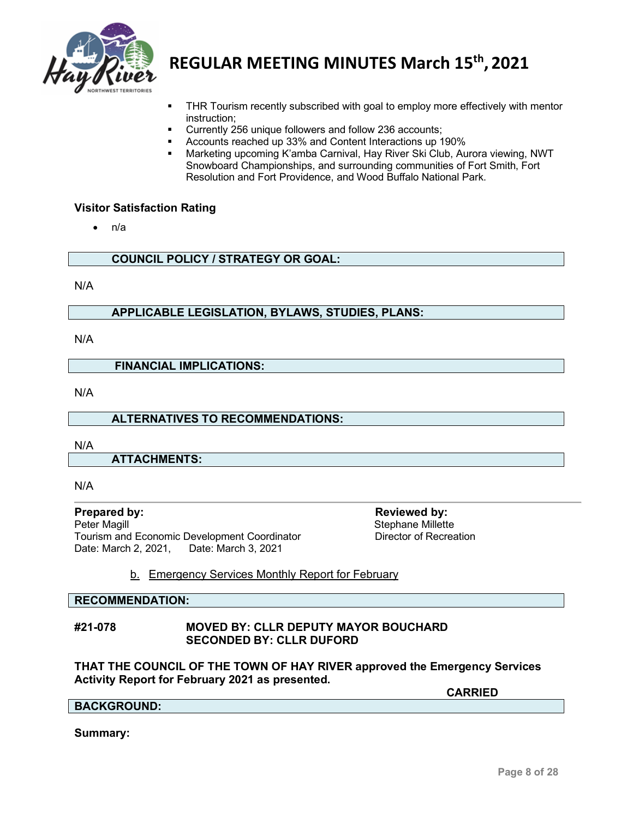

- THR Tourism recently subscribed with goal to employ more effectively with mentor instruction;
- Currently 256 unique followers and follow 236 accounts;
- Accounts reached up 33% and Content Interactions up 190%
- Marketing upcoming K'amba Carnival, Hay River Ski Club, Aurora viewing, NWT Snowboard Championships, and surrounding communities of Fort Smith, Fort Resolution and Fort Providence, and Wood Buffalo National Park.

#### **Visitor Satisfaction Rating**

• n/a

**COUNCIL POLICY / STRATEGY OR GOAL:**

N/A

### **APPLICABLE LEGISLATION, BYLAWS, STUDIES, PLANS:**

N/A

#### **FINANCIAL IMPLICATIONS:**

N/A

#### **ALTERNATIVES TO RECOMMENDATIONS:**

N/A

**ATTACHMENTS:**

N/A

**Prepared by:**<br> **Peter Magill**<br> **Peter Magill**<br> **Reviewed by:**<br>
Stephane Millett Tourism and Economic Development Coordinator Date: March 2, 2021, Date: March 3, 2021

Stephane Millette<br>Director of Recreation

# b. Emergency Services Monthly Report for February

#### **RECOMMENDATION:**

#### **#21-078 MOVED BY: CLLR DEPUTY MAYOR BOUCHARD SECONDED BY: CLLR DUFORD**

#### **THAT THE COUNCIL OF THE TOWN OF HAY RIVER approved the Emergency Services Activity Report for February 2021 as presented.**

**CARRIED**

#### **BACKGROUND:**

**Summary:**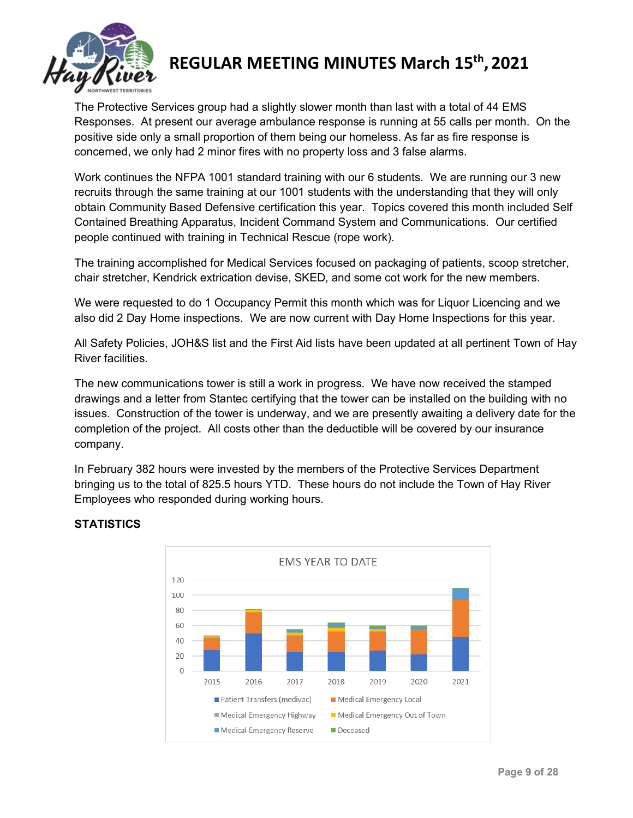

The Protective Services group had a slightly slower month than last with a total of 44 EMS Responses. At present our average ambulance response is running at 55 calls per month. On the positive side only a small proportion of them being our homeless. As far as fire response is concerned, we only had 2 minor fires with no property loss and 3 false alarms.

Work continues the NFPA 1001 standard training with our 6 students. We are running our 3 new recruits through the same training at our 1001 students with the understanding that they will only obtain Community Based Defensive certification this year. Topics covered this month included Self Contained Breathing Apparatus, Incident Command System and Communications. Our certified people continued with training in Technical Rescue (rope work).

The training accomplished for Medical Services focused on packaging of patients, scoop stretcher, chair stretcher, Kendrick extrication devise, SKED, and some cot work for the new members.

We were requested to do 1 Occupancy Permit this month which was for Liquor Licencing and we also did 2 Day Home inspections. We are now current with Day Home Inspections for this year.

All Safety Policies, JOH&S list and the First Aid lists have been updated at all pertinent Town of Hay River facilities.

The new communications tower is still a work in progress. We have now received the stamped drawings and a letter from Stantec certifying that the tower can be installed on the building with no issues. Construction of the tower is underway, and we are presently awaiting a delivery date for the completion of the project. All costs other than the deductible will be covered by our insurance company.

In February 382 hours were invested by the members of the Protective Services Department bringing us to the total of 825.5 hours YTD. These hours do not include the Town of Hay River Employees who responded during working hours.



# **STATISTICS**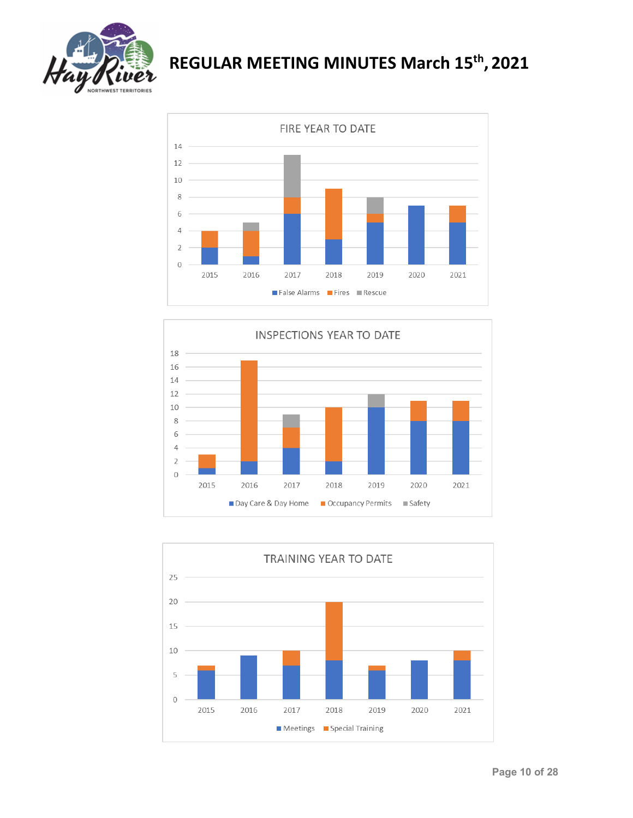





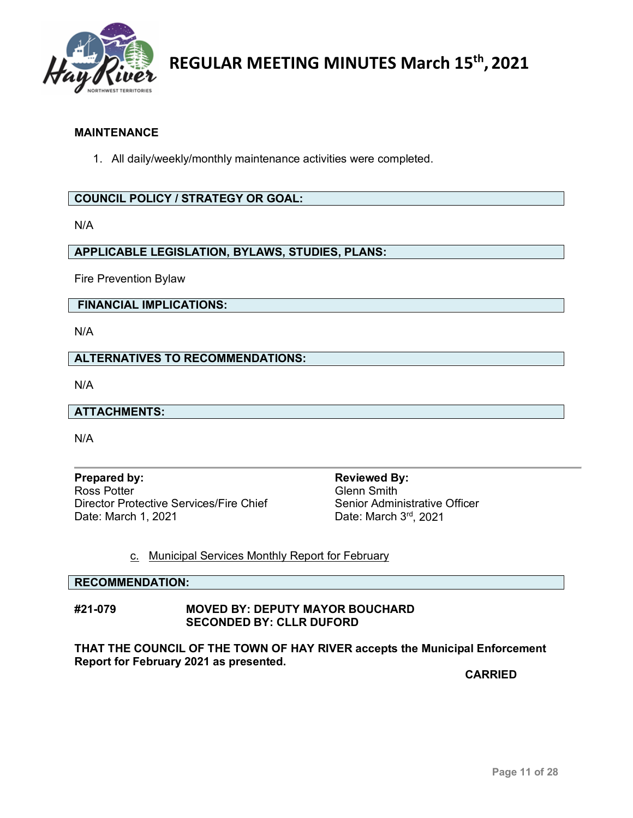

## **MAINTENANCE**

1. All daily/weekly/monthly maintenance activities were completed.

# **COUNCIL POLICY / STRATEGY OR GOAL:**

N/A

**APPLICABLE LEGISLATION, BYLAWS, STUDIES, PLANS:**

Fire Prevention Bylaw

**FINANCIAL IMPLICATIONS:**

N/A

**ALTERNATIVES TO RECOMMENDATIONS:**

N/A

#### **ATTACHMENTS:**

N/A

**Prepared by: Reviewed By: Reviewed By: Reviewed By: Reviewed By: Reviewed By: Ross** Potter **Property** Director Protective Services/Fire Chief Date: March 1, 2021 **Date: March 3rd, 2021** 

Glenn Smith<br>Senior Administrative Officer

#### c. Municipal Services Monthly Report for February

**RECOMMENDATION:**

#### **#21-079 MOVED BY: DEPUTY MAYOR BOUCHARD SECONDED BY: CLLR DUFORD**

**THAT THE COUNCIL OF THE TOWN OF HAY RIVER accepts the Municipal Enforcement Report for February 2021 as presented.**

**CARRIED**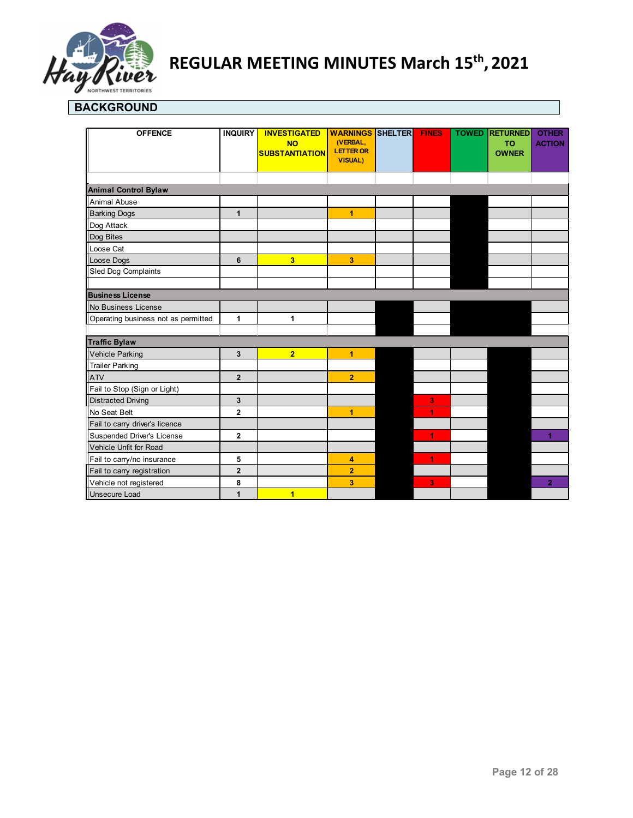

# **BACKGROUND**

| <b>OFFENCE</b>                      | <b>INQUIRY</b>          | <b>INVESTIGATED</b><br><b>NO</b><br><b>SUBSTANTIATION</b> | <b>WARNINGS</b><br>(VERBAL,<br><b>LETTER OR</b><br><b>VISUAL)</b> | SHELTER | <b>FINES</b> | <b>TOWED</b> | <b>RETURNED</b><br><b>TO</b><br><b>OWNER</b> | <b>OTHER</b><br><b>ACTION</b> |
|-------------------------------------|-------------------------|-----------------------------------------------------------|-------------------------------------------------------------------|---------|--------------|--------------|----------------------------------------------|-------------------------------|
| <b>Animal Control Bylaw</b>         |                         |                                                           |                                                                   |         |              |              |                                              |                               |
| Animal Abuse                        |                         |                                                           |                                                                   |         |              |              |                                              |                               |
| <b>Barking Dogs</b>                 | $\mathbf{1}$            |                                                           | 1                                                                 |         |              |              |                                              |                               |
| Dog Attack                          |                         |                                                           |                                                                   |         |              |              |                                              |                               |
| Dog Bites                           |                         |                                                           |                                                                   |         |              |              |                                              |                               |
| Loose Cat                           |                         |                                                           |                                                                   |         |              |              |                                              |                               |
| Loose Dogs                          | 6                       | 3                                                         | 3                                                                 |         |              |              |                                              |                               |
| Sled Dog Complaints                 |                         |                                                           |                                                                   |         |              |              |                                              |                               |
|                                     |                         |                                                           |                                                                   |         |              |              |                                              |                               |
| <b>Business License</b>             |                         |                                                           |                                                                   |         |              |              |                                              |                               |
| No Business License                 |                         |                                                           |                                                                   |         |              |              |                                              |                               |
| Operating business not as permitted | 1                       | 1                                                         |                                                                   |         |              |              |                                              |                               |
|                                     |                         |                                                           |                                                                   |         |              |              |                                              |                               |
| <b>Traffic Bylaw</b>                |                         |                                                           |                                                                   |         |              |              |                                              |                               |
| Vehicle Parking                     | 3                       | $\overline{2}$                                            | 1                                                                 |         |              |              |                                              |                               |
| <b>Trailer Parking</b>              |                         |                                                           |                                                                   |         |              |              |                                              |                               |
| <b>ATV</b>                          | $\overline{2}$          |                                                           | $\overline{2}$                                                    |         |              |              |                                              |                               |
| Fail to Stop (Sign or Light)        |                         |                                                           |                                                                   |         |              |              |                                              |                               |
| <b>Distracted Driving</b>           | 3                       |                                                           |                                                                   |         | 3            |              |                                              |                               |
| No Seat Belt                        | $\overline{2}$          |                                                           | 1                                                                 |         | 1            |              |                                              |                               |
| Fail to carry driver's licence      |                         |                                                           |                                                                   |         |              |              |                                              |                               |
| Suspended Driver's License          | $\mathbf{2}$            |                                                           |                                                                   |         | 1            |              |                                              |                               |
| Vehicle Unfit for Road              |                         |                                                           |                                                                   |         |              |              |                                              |                               |
| Fail to carry/no insurance          | 5                       |                                                           | 4                                                                 |         | 1            |              |                                              |                               |
| Fail to carry registration          | $\overline{\mathbf{2}}$ |                                                           | $\overline{2}$                                                    |         |              |              |                                              |                               |
| Vehicle not registered              | 8                       |                                                           | 3                                                                 |         | 3            |              |                                              | $\overline{2}$                |
| Unsecure Load                       | 1                       | 1                                                         |                                                                   |         |              |              |                                              |                               |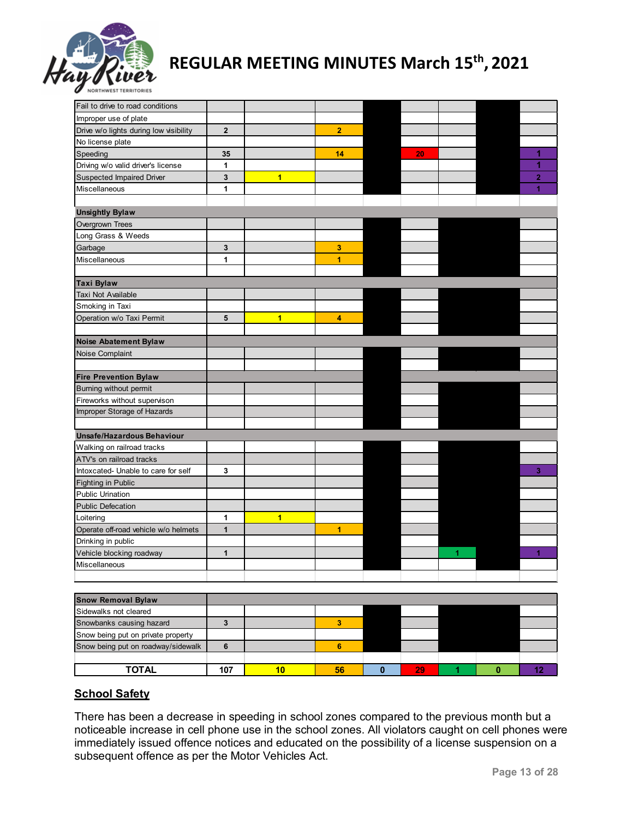

| Improper use of plate<br>$\overline{2}$<br>$\overline{2}$<br>Drive w/o lights during low visibility<br>No license plate<br>1<br>14<br>35<br>20<br>Driving w/o valid driver's license<br>1<br>1<br>3<br>$\overline{\mathbf{1}}$<br><b>Suspected Impaired Driver</b><br>$\overline{2}$<br>1<br>3<br>3<br>1<br>$\overline{1}$<br>Smoking in Taxi<br>$\overline{1}$<br>5<br>4<br>Noise Abatement Bylaw<br>Noise Complaint<br><b>Fire Prevention Bylaw</b><br>Fireworks without supervison<br>Improper Storage of Hazards<br>Unsafe/Hazardous Behaviour<br>Walking on railroad tracks<br>ATV's on railroad tracks<br>Intoxcated- Unable to care for self<br>3<br>3<br><b>Fighting in Public</b><br><b>Public Urination</b><br><b>Public Defecation</b><br>$\overline{\mathbf{1}}$<br>Loitering<br>1<br>Operate off-road vehicle w/o helmets<br>$\mathbf{1}$<br>$\mathbf{1}$<br>Drinking in public<br>$\mathbf{1}$<br>4<br>Vehicle blocking roadway<br>1.<br>Miscellaneous | Fail to drive to road conditions |  |  |  |  |
|----------------------------------------------------------------------------------------------------------------------------------------------------------------------------------------------------------------------------------------------------------------------------------------------------------------------------------------------------------------------------------------------------------------------------------------------------------------------------------------------------------------------------------------------------------------------------------------------------------------------------------------------------------------------------------------------------------------------------------------------------------------------------------------------------------------------------------------------------------------------------------------------------------------------------------------------------------------------|----------------------------------|--|--|--|--|
|                                                                                                                                                                                                                                                                                                                                                                                                                                                                                                                                                                                                                                                                                                                                                                                                                                                                                                                                                                      |                                  |  |  |  |  |
|                                                                                                                                                                                                                                                                                                                                                                                                                                                                                                                                                                                                                                                                                                                                                                                                                                                                                                                                                                      |                                  |  |  |  |  |
|                                                                                                                                                                                                                                                                                                                                                                                                                                                                                                                                                                                                                                                                                                                                                                                                                                                                                                                                                                      |                                  |  |  |  |  |
|                                                                                                                                                                                                                                                                                                                                                                                                                                                                                                                                                                                                                                                                                                                                                                                                                                                                                                                                                                      | Speeding                         |  |  |  |  |
|                                                                                                                                                                                                                                                                                                                                                                                                                                                                                                                                                                                                                                                                                                                                                                                                                                                                                                                                                                      |                                  |  |  |  |  |
|                                                                                                                                                                                                                                                                                                                                                                                                                                                                                                                                                                                                                                                                                                                                                                                                                                                                                                                                                                      |                                  |  |  |  |  |
|                                                                                                                                                                                                                                                                                                                                                                                                                                                                                                                                                                                                                                                                                                                                                                                                                                                                                                                                                                      | Miscellaneous                    |  |  |  |  |
|                                                                                                                                                                                                                                                                                                                                                                                                                                                                                                                                                                                                                                                                                                                                                                                                                                                                                                                                                                      |                                  |  |  |  |  |
|                                                                                                                                                                                                                                                                                                                                                                                                                                                                                                                                                                                                                                                                                                                                                                                                                                                                                                                                                                      | <b>Unsightly Bylaw</b>           |  |  |  |  |
|                                                                                                                                                                                                                                                                                                                                                                                                                                                                                                                                                                                                                                                                                                                                                                                                                                                                                                                                                                      | Overgrown Trees                  |  |  |  |  |
|                                                                                                                                                                                                                                                                                                                                                                                                                                                                                                                                                                                                                                                                                                                                                                                                                                                                                                                                                                      | Long Grass & Weeds               |  |  |  |  |
|                                                                                                                                                                                                                                                                                                                                                                                                                                                                                                                                                                                                                                                                                                                                                                                                                                                                                                                                                                      | Garbage                          |  |  |  |  |
|                                                                                                                                                                                                                                                                                                                                                                                                                                                                                                                                                                                                                                                                                                                                                                                                                                                                                                                                                                      | Miscellaneous                    |  |  |  |  |
|                                                                                                                                                                                                                                                                                                                                                                                                                                                                                                                                                                                                                                                                                                                                                                                                                                                                                                                                                                      |                                  |  |  |  |  |
|                                                                                                                                                                                                                                                                                                                                                                                                                                                                                                                                                                                                                                                                                                                                                                                                                                                                                                                                                                      | <b>Taxi Bylaw</b>                |  |  |  |  |
|                                                                                                                                                                                                                                                                                                                                                                                                                                                                                                                                                                                                                                                                                                                                                                                                                                                                                                                                                                      | Taxi Not Available               |  |  |  |  |
|                                                                                                                                                                                                                                                                                                                                                                                                                                                                                                                                                                                                                                                                                                                                                                                                                                                                                                                                                                      |                                  |  |  |  |  |
|                                                                                                                                                                                                                                                                                                                                                                                                                                                                                                                                                                                                                                                                                                                                                                                                                                                                                                                                                                      | Operation w/o Taxi Permit        |  |  |  |  |
|                                                                                                                                                                                                                                                                                                                                                                                                                                                                                                                                                                                                                                                                                                                                                                                                                                                                                                                                                                      |                                  |  |  |  |  |
|                                                                                                                                                                                                                                                                                                                                                                                                                                                                                                                                                                                                                                                                                                                                                                                                                                                                                                                                                                      |                                  |  |  |  |  |
|                                                                                                                                                                                                                                                                                                                                                                                                                                                                                                                                                                                                                                                                                                                                                                                                                                                                                                                                                                      |                                  |  |  |  |  |
|                                                                                                                                                                                                                                                                                                                                                                                                                                                                                                                                                                                                                                                                                                                                                                                                                                                                                                                                                                      |                                  |  |  |  |  |
|                                                                                                                                                                                                                                                                                                                                                                                                                                                                                                                                                                                                                                                                                                                                                                                                                                                                                                                                                                      |                                  |  |  |  |  |
|                                                                                                                                                                                                                                                                                                                                                                                                                                                                                                                                                                                                                                                                                                                                                                                                                                                                                                                                                                      | Burning without permit           |  |  |  |  |
|                                                                                                                                                                                                                                                                                                                                                                                                                                                                                                                                                                                                                                                                                                                                                                                                                                                                                                                                                                      |                                  |  |  |  |  |
|                                                                                                                                                                                                                                                                                                                                                                                                                                                                                                                                                                                                                                                                                                                                                                                                                                                                                                                                                                      |                                  |  |  |  |  |
|                                                                                                                                                                                                                                                                                                                                                                                                                                                                                                                                                                                                                                                                                                                                                                                                                                                                                                                                                                      |                                  |  |  |  |  |
|                                                                                                                                                                                                                                                                                                                                                                                                                                                                                                                                                                                                                                                                                                                                                                                                                                                                                                                                                                      |                                  |  |  |  |  |
|                                                                                                                                                                                                                                                                                                                                                                                                                                                                                                                                                                                                                                                                                                                                                                                                                                                                                                                                                                      |                                  |  |  |  |  |
|                                                                                                                                                                                                                                                                                                                                                                                                                                                                                                                                                                                                                                                                                                                                                                                                                                                                                                                                                                      |                                  |  |  |  |  |
|                                                                                                                                                                                                                                                                                                                                                                                                                                                                                                                                                                                                                                                                                                                                                                                                                                                                                                                                                                      |                                  |  |  |  |  |
|                                                                                                                                                                                                                                                                                                                                                                                                                                                                                                                                                                                                                                                                                                                                                                                                                                                                                                                                                                      |                                  |  |  |  |  |
|                                                                                                                                                                                                                                                                                                                                                                                                                                                                                                                                                                                                                                                                                                                                                                                                                                                                                                                                                                      |                                  |  |  |  |  |
|                                                                                                                                                                                                                                                                                                                                                                                                                                                                                                                                                                                                                                                                                                                                                                                                                                                                                                                                                                      |                                  |  |  |  |  |
|                                                                                                                                                                                                                                                                                                                                                                                                                                                                                                                                                                                                                                                                                                                                                                                                                                                                                                                                                                      |                                  |  |  |  |  |
|                                                                                                                                                                                                                                                                                                                                                                                                                                                                                                                                                                                                                                                                                                                                                                                                                                                                                                                                                                      |                                  |  |  |  |  |
|                                                                                                                                                                                                                                                                                                                                                                                                                                                                                                                                                                                                                                                                                                                                                                                                                                                                                                                                                                      |                                  |  |  |  |  |
|                                                                                                                                                                                                                                                                                                                                                                                                                                                                                                                                                                                                                                                                                                                                                                                                                                                                                                                                                                      |                                  |  |  |  |  |
|                                                                                                                                                                                                                                                                                                                                                                                                                                                                                                                                                                                                                                                                                                                                                                                                                                                                                                                                                                      |                                  |  |  |  |  |
|                                                                                                                                                                                                                                                                                                                                                                                                                                                                                                                                                                                                                                                                                                                                                                                                                                                                                                                                                                      |                                  |  |  |  |  |

| <b>Snow Removal Bylaw</b>          |     |    |    |  |  |
|------------------------------------|-----|----|----|--|--|
| Sidewalks not cleared              |     |    |    |  |  |
| Snowbanks causing hazard           |     |    |    |  |  |
| Snow being put on private property |     |    |    |  |  |
| Snow being put on roadway/sidewalk |     |    |    |  |  |
|                                    |     |    |    |  |  |
| <b>TOTAL</b>                       | 107 | 56 | 29 |  |  |

# **School Safety**

There has been a decrease in speeding in school zones compared to the previous month but a noticeable increase in cell phone use in the school zones. All violators caught on cell phones were immediately issued offence notices and educated on the possibility of a license suspension on a subsequent offence as per the Motor Vehicles Act.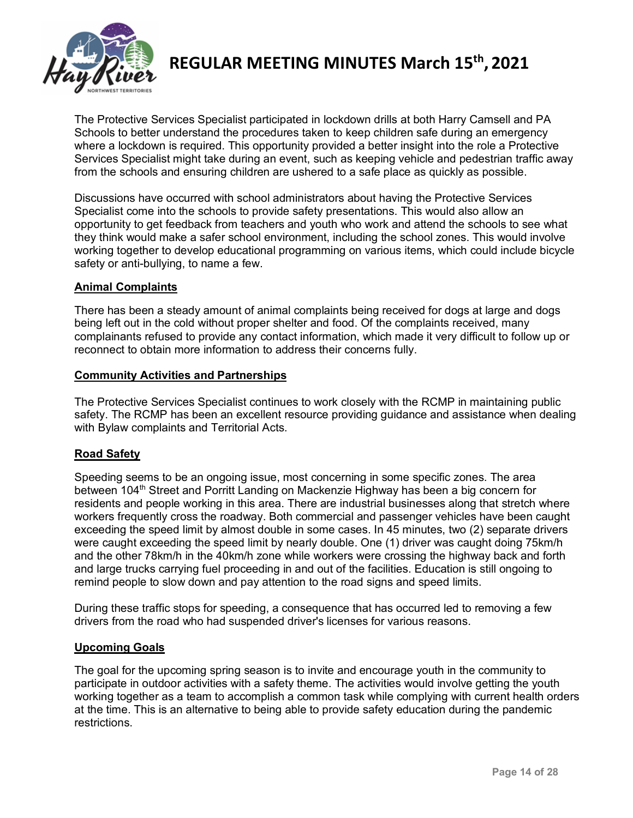

The Protective Services Specialist participated in lockdown drills at both Harry Camsell and PA Schools to better understand the procedures taken to keep children safe during an emergency where a lockdown is required. This opportunity provided a better insight into the role a Protective Services Specialist might take during an event, such as keeping vehicle and pedestrian traffic away from the schools and ensuring children are ushered to a safe place as quickly as possible.

Discussions have occurred with school administrators about having the Protective Services Specialist come into the schools to provide safety presentations. This would also allow an opportunity to get feedback from teachers and youth who work and attend the schools to see what they think would make a safer school environment, including the school zones. This would involve working together to develop educational programming on various items, which could include bicycle safety or anti-bullying, to name a few.

# **Animal Complaints**

There has been a steady amount of animal complaints being received for dogs at large and dogs being left out in the cold without proper shelter and food. Of the complaints received, many complainants refused to provide any contact information, which made it very difficult to follow up or reconnect to obtain more information to address their concerns fully.

#### **Community Activities and Partnerships**

The Protective Services Specialist continues to work closely with the RCMP in maintaining public safety. The RCMP has been an excellent resource providing guidance and assistance when dealing with Bylaw complaints and Territorial Acts.

# **Road Safety**

Speeding seems to be an ongoing issue, most concerning in some specific zones. The area between 104<sup>th</sup> Street and Porritt Landing on Mackenzie Highway has been a big concern for residents and people working in this area. There are industrial businesses along that stretch where workers frequently cross the roadway. Both commercial and passenger vehicles have been caught exceeding the speed limit by almost double in some cases. In 45 minutes, two (2) separate drivers were caught exceeding the speed limit by nearly double. One (1) driver was caught doing 75km/h and the other 78km/h in the 40km/h zone while workers were crossing the highway back and forth and large trucks carrying fuel proceeding in and out of the facilities. Education is still ongoing to remind people to slow down and pay attention to the road signs and speed limits.

During these traffic stops for speeding, a consequence that has occurred led to removing a few drivers from the road who had suspended driver's licenses for various reasons.

# **Upcoming Goals**

The goal for the upcoming spring season is to invite and encourage youth in the community to participate in outdoor activities with a safety theme. The activities would involve getting the youth working together as a team to accomplish a common task while complying with current health orders at the time. This is an alternative to being able to provide safety education during the pandemic restrictions.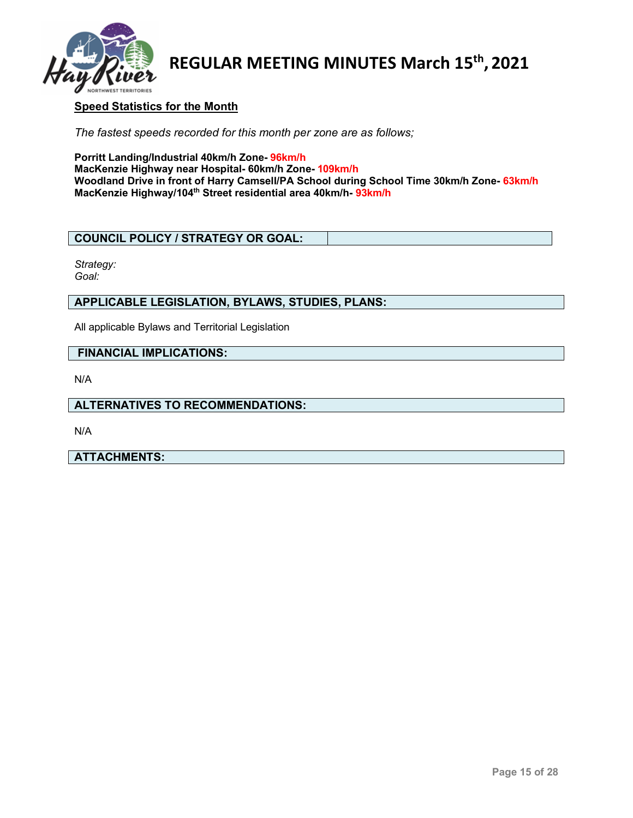

# **Speed Statistics for the Month**

*The fastest speeds recorded for this month per zone are as follows;*

**Porritt Landing/Industrial 40km/h Zone- 96km/h MacKenzie Highway near Hospital- 60km/h Zone- 109km/h Woodland Drive in front of Harry Camsell/PA School during School Time 30km/h Zone- 63km/h MacKenzie Highway/104th Street residential area 40km/h- 93km/h**

#### **COUNCIL POLICY / STRATEGY OR GOAL:**

*Strategy: Goal:*

# **APPLICABLE LEGISLATION, BYLAWS, STUDIES, PLANS:**

All applicable Bylaws and Territorial Legislation

#### **FINANCIAL IMPLICATIONS:**

N/A

# **ALTERNATIVES TO RECOMMENDATIONS:**

N/A

#### **ATTACHMENTS:**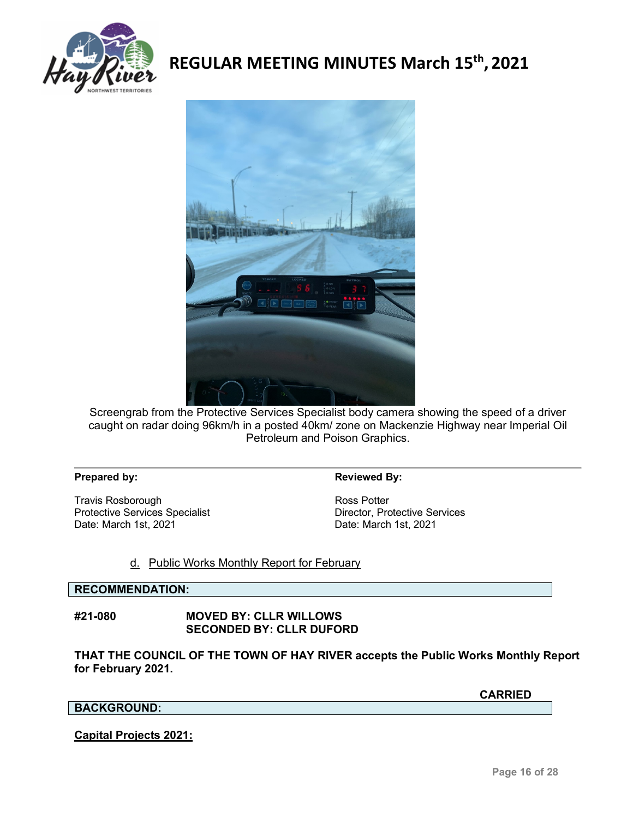



Screengrab from the Protective Services Specialist body camera showing the speed of a driver caught on radar doing 96km/h in a posted 40km/ zone on Mackenzie Highway near Imperial Oil Petroleum and Poison Graphics.

#### **Prepared by: Reviewed By: Reviewed By:**

Travis Rosborough<br>
Protective Services Specialist<br>
Protective Services<br>
Protective Services Protective Services Specialist<br>Date: March 1st, 2021

Date: March 1st, 2021

#### d. Public Works Monthly Report for February

#### **RECOMMENDATION:**

**#21-080 MOVED BY: CLLR WILLOWS SECONDED BY: CLLR DUFORD**

**THAT THE COUNCIL OF THE TOWN OF HAY RIVER accepts the Public Works Monthly Report for February 2021.**

**CARRIED**

# **BACKGROUND:**

#### **Capital Projects 2021:**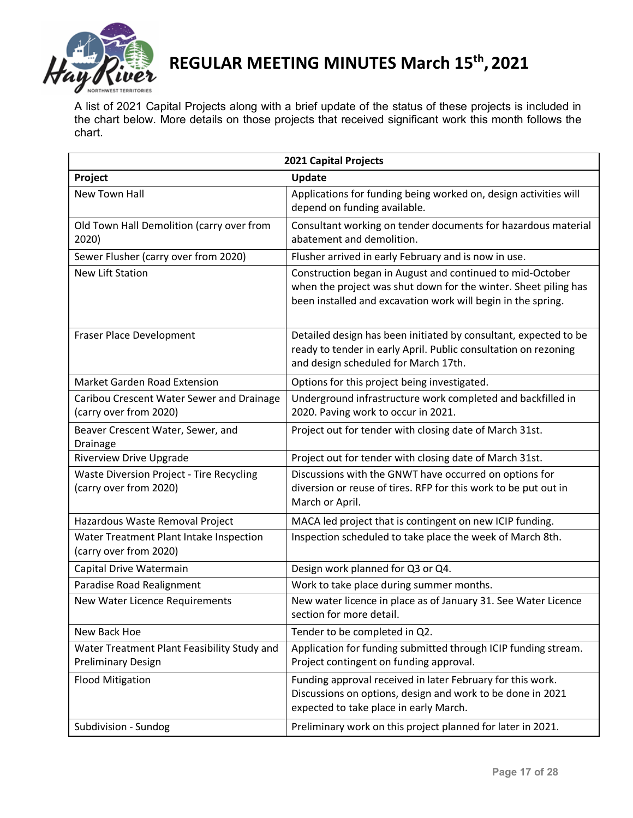

A list of 2021 Capital Projects along with a brief update of the status of these projects is included in the chart below. More details on those projects that received significant work this month follows the chart.

| 2021 Capital Projects                                                     |                                                                                                                                                                                              |  |  |  |
|---------------------------------------------------------------------------|----------------------------------------------------------------------------------------------------------------------------------------------------------------------------------------------|--|--|--|
| Project                                                                   | <b>Update</b>                                                                                                                                                                                |  |  |  |
| <b>New Town Hall</b>                                                      | Applications for funding being worked on, design activities will<br>depend on funding available.                                                                                             |  |  |  |
| Old Town Hall Demolition (carry over from<br>2020)                        | Consultant working on tender documents for hazardous material<br>abatement and demolition.                                                                                                   |  |  |  |
| Sewer Flusher (carry over from 2020)                                      | Flusher arrived in early February and is now in use.                                                                                                                                         |  |  |  |
| <b>New Lift Station</b>                                                   | Construction began in August and continued to mid-October<br>when the project was shut down for the winter. Sheet piling has<br>been installed and excavation work will begin in the spring. |  |  |  |
| Fraser Place Development                                                  | Detailed design has been initiated by consultant, expected to be<br>ready to tender in early April. Public consultation on rezoning<br>and design scheduled for March 17th.                  |  |  |  |
| Market Garden Road Extension                                              | Options for this project being investigated.                                                                                                                                                 |  |  |  |
| Caribou Crescent Water Sewer and Drainage<br>(carry over from 2020)       | Underground infrastructure work completed and backfilled in<br>2020. Paving work to occur in 2021.                                                                                           |  |  |  |
| Beaver Crescent Water, Sewer, and<br>Drainage                             | Project out for tender with closing date of March 31st.                                                                                                                                      |  |  |  |
| <b>Riverview Drive Upgrade</b>                                            | Project out for tender with closing date of March 31st.                                                                                                                                      |  |  |  |
| <b>Waste Diversion Project - Tire Recycling</b><br>(carry over from 2020) | Discussions with the GNWT have occurred on options for<br>diversion or reuse of tires. RFP for this work to be put out in<br>March or April.                                                 |  |  |  |
| Hazardous Waste Removal Project                                           | MACA led project that is contingent on new ICIP funding.                                                                                                                                     |  |  |  |
| Water Treatment Plant Intake Inspection<br>(carry over from 2020)         | Inspection scheduled to take place the week of March 8th.                                                                                                                                    |  |  |  |
| Capital Drive Watermain                                                   | Design work planned for Q3 or Q4.                                                                                                                                                            |  |  |  |
| Paradise Road Realignment                                                 | Work to take place during summer months.                                                                                                                                                     |  |  |  |
| New Water Licence Requirements                                            | New water licence in place as of January 31. See Water Licence<br>section for more detail.                                                                                                   |  |  |  |
| New Back Hoe                                                              | Tender to be completed in Q2.                                                                                                                                                                |  |  |  |
| Water Treatment Plant Feasibility Study and<br><b>Preliminary Design</b>  | Application for funding submitted through ICIP funding stream.<br>Project contingent on funding approval.                                                                                    |  |  |  |
| <b>Flood Mitigation</b>                                                   | Funding approval received in later February for this work.<br>Discussions on options, design and work to be done in 2021<br>expected to take place in early March.                           |  |  |  |
| Subdivision - Sundog                                                      | Preliminary work on this project planned for later in 2021.                                                                                                                                  |  |  |  |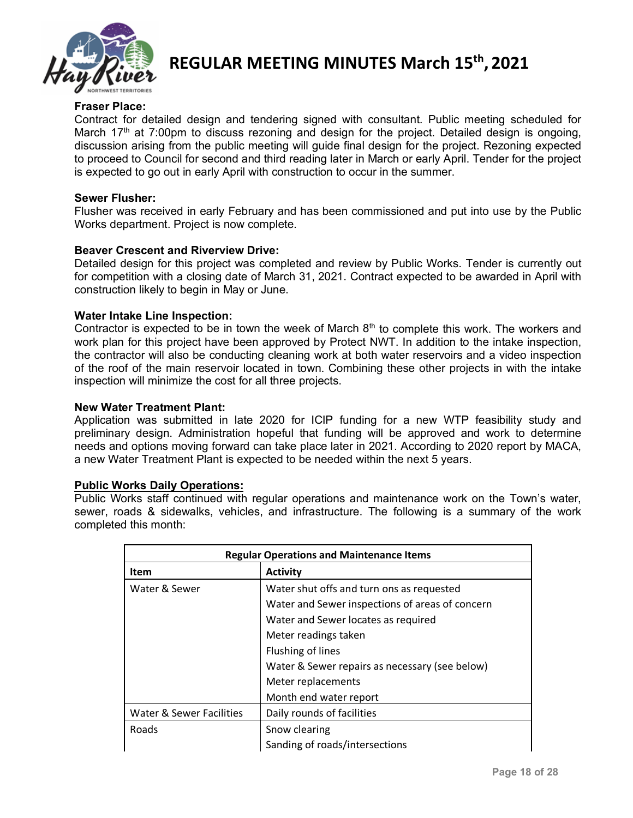

# **Fraser Place:**

Contract for detailed design and tendering signed with consultant. Public meeting scheduled for March 17<sup>th</sup> at 7:00pm to discuss rezoning and design for the project. Detailed design is ongoing, discussion arising from the public meeting will guide final design for the project. Rezoning expected to proceed to Council for second and third reading later in March or early April. Tender for the project is expected to go out in early April with construction to occur in the summer.

#### **Sewer Flusher:**

Flusher was received in early February and has been commissioned and put into use by the Public Works department. Project is now complete.

### **Beaver Crescent and Riverview Drive:**

Detailed design for this project was completed and review by Public Works. Tender is currently out for competition with a closing date of March 31, 2021. Contract expected to be awarded in April with construction likely to begin in May or June.

### **Water Intake Line Inspection:**

Contractor is expected to be in town the week of March  $8<sup>th</sup>$  to complete this work. The workers and work plan for this project have been approved by Protect NWT. In addition to the intake inspection, the contractor will also be conducting cleaning work at both water reservoirs and a video inspection of the roof of the main reservoir located in town. Combining these other projects in with the intake inspection will minimize the cost for all three projects.

#### **New Water Treatment Plant:**

Application was submitted in late 2020 for ICIP funding for a new WTP feasibility study and preliminary design. Administration hopeful that funding will be approved and work to determine needs and options moving forward can take place later in 2021. According to 2020 report by MACA, a new Water Treatment Plant is expected to be needed within the next 5 years.

#### **Public Works Daily Operations:**

Public Works staff continued with regular operations and maintenance work on the Town's water, sewer, roads & sidewalks, vehicles, and infrastructure. The following is a summary of the work completed this month:

| <b>Regular Operations and Maintenance Items</b> |                                                 |  |  |
|-------------------------------------------------|-------------------------------------------------|--|--|
| <b>Item</b>                                     | <b>Activity</b>                                 |  |  |
| Water & Sewer                                   | Water shut offs and turn ons as requested       |  |  |
|                                                 | Water and Sewer inspections of areas of concern |  |  |
|                                                 | Water and Sewer locates as required             |  |  |
|                                                 | Meter readings taken                            |  |  |
|                                                 | Flushing of lines                               |  |  |
|                                                 | Water & Sewer repairs as necessary (see below)  |  |  |
|                                                 | Meter replacements                              |  |  |
|                                                 | Month end water report                          |  |  |
| Water & Sewer Facilities                        | Daily rounds of facilities                      |  |  |
| Roads                                           | Snow clearing                                   |  |  |
|                                                 | Sanding of roads/intersections                  |  |  |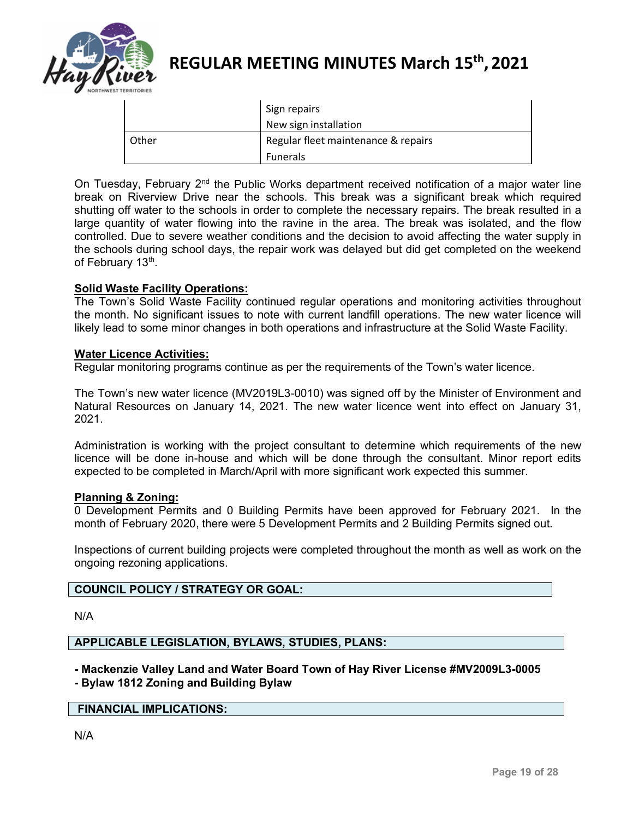

|       | Sign repairs                        |
|-------|-------------------------------------|
|       | New sign installation               |
| Other | Regular fleet maintenance & repairs |
|       | <b>Funerals</b>                     |

On Tuesday, February 2<sup>nd</sup> the Public Works department received notification of a major water line break on Riverview Drive near the schools. This break was a significant break which required shutting off water to the schools in order to complete the necessary repairs. The break resulted in a large quantity of water flowing into the ravine in the area. The break was isolated, and the flow controlled. Due to severe weather conditions and the decision to avoid affecting the water supply in the schools during school days, the repair work was delayed but did get completed on the weekend of February 13<sup>th</sup>.

# **Solid Waste Facility Operations:**

The Town's Solid Waste Facility continued regular operations and monitoring activities throughout the month. No significant issues to note with current landfill operations. The new water licence will likely lead to some minor changes in both operations and infrastructure at the Solid Waste Facility.

#### **Water Licence Activities:**

Regular monitoring programs continue as per the requirements of the Town's water licence.

The Town's new water licence (MV2019L3-0010) was signed off by the Minister of Environment and Natural Resources on January 14, 2021. The new water licence went into effect on January 31, 2021.

Administration is working with the project consultant to determine which requirements of the new licence will be done in-house and which will be done through the consultant. Minor report edits expected to be completed in March/April with more significant work expected this summer.

#### **Planning & Zoning:**

0 Development Permits and 0 Building Permits have been approved for February 2021. In the month of February 2020, there were 5 Development Permits and 2 Building Permits signed out.

Inspections of current building projects were completed throughout the month as well as work on the ongoing rezoning applications.

#### **COUNCIL POLICY / STRATEGY OR GOAL:**

N/A

### **APPLICABLE LEGISLATION, BYLAWS, STUDIES, PLANS:**

**- Mackenzie Valley Land and Water Board Town of Hay River License #MV2009L3-0005 - Bylaw 1812 Zoning and Building Bylaw**

#### **FINANCIAL IMPLICATIONS:**

N/A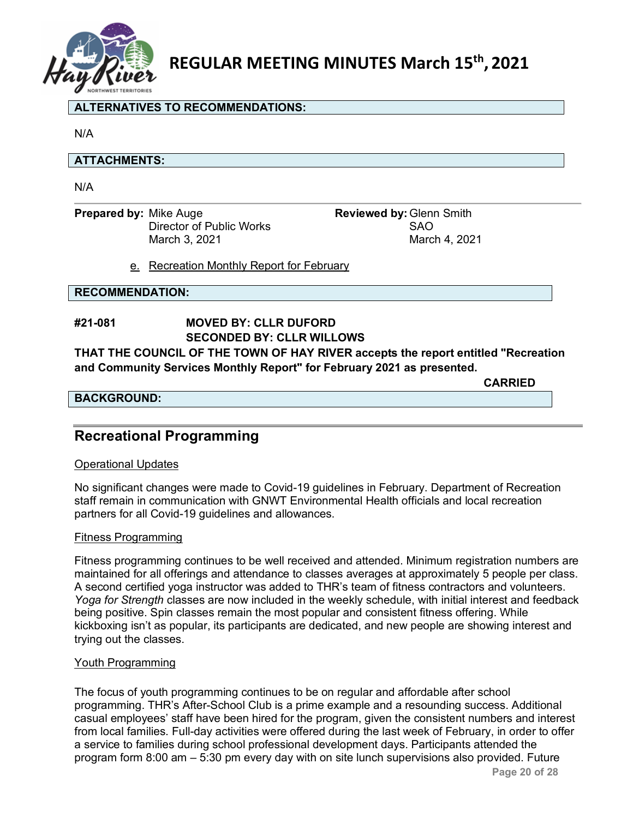

## **ALTERNATIVES TO RECOMMENDATIONS:**

N/A

### **ATTACHMENTS:**

N/A

**Prepared by:** Mike Auge **Reviewed by:** Glenn Smith **Prepared by:** Clenn Smith **Director of Public Works** Director of Public Works

March 3, 2021 March 4, 2021

e. Recreation Monthly Report for February

### **RECOMMENDATION:**

# **#21-081 MOVED BY: CLLR DUFORD SECONDED BY: CLLR WILLOWS**

**THAT THE COUNCIL OF THE TOWN OF HAY RIVER accepts the report entitled "Recreation and Community Services Monthly Report" for February 2021 as presented.**

**CARRIED**

## **BACKGROUND:**

**Recreational Programming**

# Operational Updates

No significant changes were made to Covid-19 guidelines in February. Department of Recreation staff remain in communication with GNWT Environmental Health officials and local recreation partners for all Covid-19 guidelines and allowances.

#### Fitness Programming

Fitness programming continues to be well received and attended. Minimum registration numbers are maintained for all offerings and attendance to classes averages at approximately 5 people per class. A second certified yoga instructor was added to THR's team of fitness contractors and volunteers. *Yoga for Strength* classes are now included in the weekly schedule, with initial interest and feedback being positive. Spin classes remain the most popular and consistent fitness offering. While kickboxing isn't as popular, its participants are dedicated, and new people are showing interest and trying out the classes.

#### Youth Programming

The focus of youth programming continues to be on regular and affordable after school programming. THR's After-School Club is a prime example and a resounding success. Additional casual employees' staff have been hired for the program, given the consistent numbers and interest from local families. Full-day activities were offered during the last week of February, in order to offer a service to families during school professional development days. Participants attended the program form 8:00 am  $-$  5:30 pm every day with on site lunch supervisions also provided. Future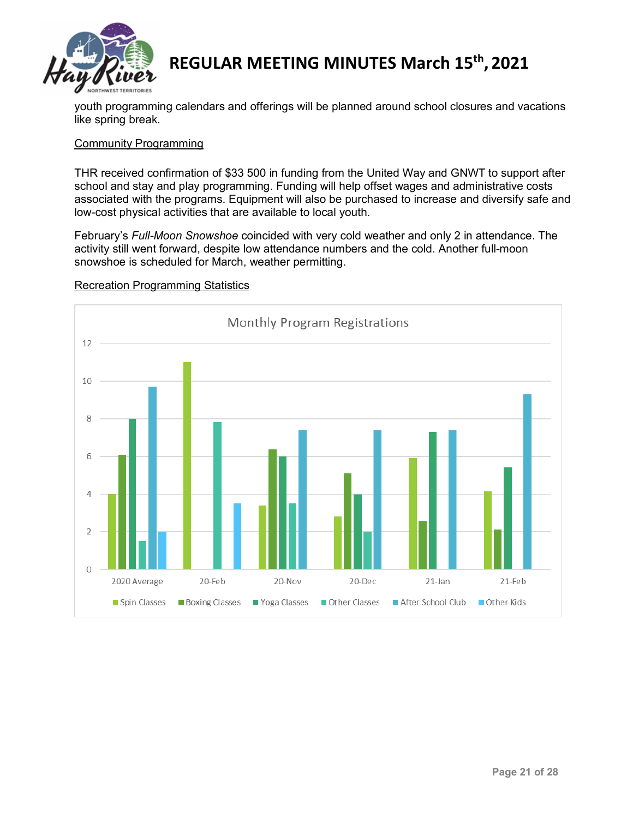

youth programming calendars and offerings will be planned around school closures and vacations like spring break.

# Community Programming

THR received confirmation of \$33 500 in funding from the United Way and GNWT to support after school and stay and play programming. Funding will help offset wages and administrative costs associated with the programs. Equipment will also be purchased to increase and diversify safe and low-cost physical activities that are available to local youth.

February's *Full-Moon Snowshoe* coincided with very cold weather and only 2 in attendance. The activity still went forward, despite low attendance numbers and the cold. Another full-moon snowshoe is scheduled for March, weather permitting.



#### Recreation Programming Statistics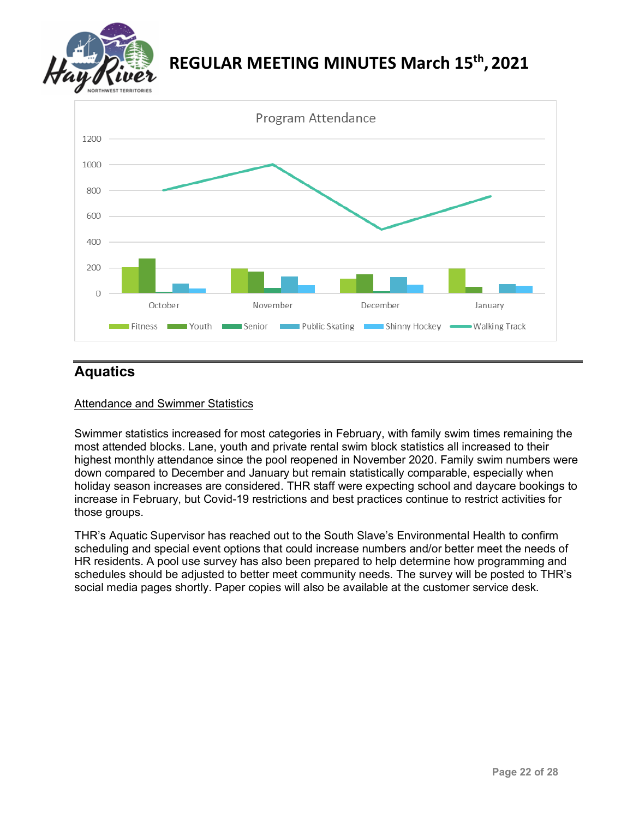



# **Aquatics**

# Attendance and Swimmer Statistics

Swimmer statistics increased for most categories in February, with family swim times remaining the most attended blocks. Lane, youth and private rental swim block statistics all increased to their highest monthly attendance since the pool reopened in November 2020. Family swim numbers were down compared to December and January but remain statistically comparable, especially when holiday season increases are considered. THR staff were expecting school and daycare bookings to increase in February, but Covid-19 restrictions and best practices continue to restrict activities for those groups.

THR's Aquatic Supervisor has reached out to the South Slave's Environmental Health to confirm scheduling and special event options that could increase numbers and/or better meet the needs of HR residents. A pool use survey has also been prepared to help determine how programming and schedules should be adjusted to better meet community needs. The survey will be posted to THR's social media pages shortly. Paper copies will also be available at the customer service desk.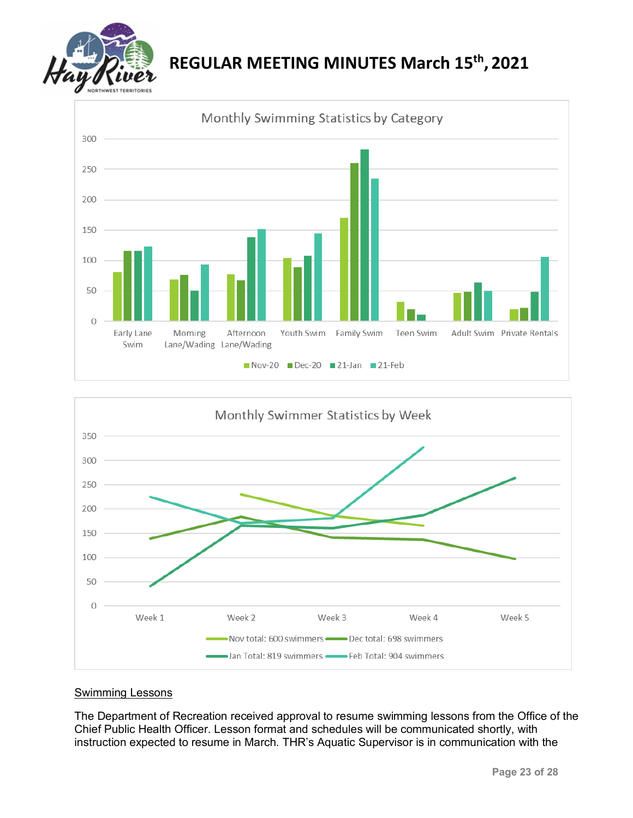





# Swimming Lessons

The Department of Recreation received approval to resume swimming lessons from the Office of the Chief Public Health Officer. Lesson format and schedules will be communicated shortly, with instruction expected to resume in March. THR's Aquatic Supervisor is in communication with the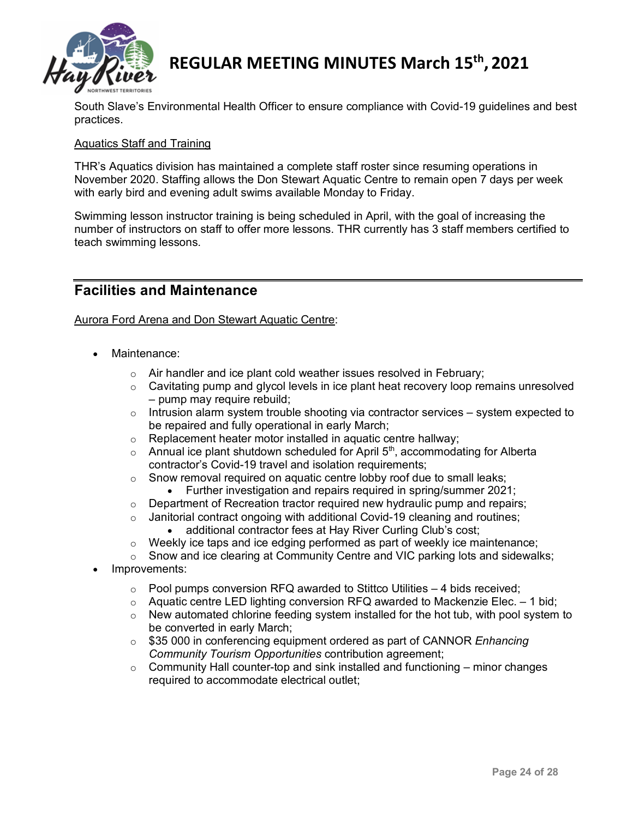

South Slave's Environmental Health Officer to ensure compliance with Covid-19 guidelines and best practices.

# Aquatics Staff and Training

THR's Aquatics division has maintained a complete staff roster since resuming operations in November 2020. Staffing allows the Don Stewart Aquatic Centre to remain open 7 days per week with early bird and evening adult swims available Monday to Friday.

Swimming lesson instructor training is being scheduled in April, with the goal of increasing the number of instructors on staff to offer more lessons. THR currently has 3 staff members certified to teach swimming lessons.

# **Facilities and Maintenance**

Aurora Ford Arena and Don Stewart Aquatic Centre:

- Maintenance:
	- $\circ$  Air handler and ice plant cold weather issues resolved in February;
	- o Cavitating pump and glycol levels in ice plant heat recovery loop remains unresolved – pump may require rebuild;
	- o Intrusion alarm system trouble shooting via contractor services system expected to be repaired and fully operational in early March;
	- $\circ$  Replacement heater motor installed in aquatic centre hallway;<br>  $\circ$  Annual ice plant shutdown scheduled for April 5<sup>th</sup>, accommoda
	- Annual ice plant shutdown scheduled for April  $5<sup>th</sup>$ , accommodating for Alberta contractor's Covid-19 travel and isolation requirements;
	- o Snow removal required on aquatic centre lobby roof due to small leaks;
		- Further investigation and repairs required in spring/summer 2021;
	- $\circ$  Department of Recreation tractor required new hydraulic pump and repairs;
	- o Janitorial contract ongoing with additional Covid-19 cleaning and routines;<br>additional contractor fees at Hay River Curling Club's cost:
		- additional contractor fees at Hay River Curling Club's cost;
	- $\circ$  Weekly ice taps and ice edging performed as part of weekly ice maintenance;
	- $\circ$  Snow and ice clearing at Community Centre and VIC parking lots and sidewalks;
- Improvements:
	- $\circ$  Pool pumps conversion RFQ awarded to Stittco Utilities 4 bids received;
	- $\circ$  Aquatic centre LED lighting conversion RFQ awarded to Mackenzie Elec. 1 bid;<br> $\circ$  New automated chlorine feeding system installed for the hot tub, with pool system
	- New automated chlorine feeding system installed for the hot tub, with pool system to be converted in early March;
	- o \$35 000 in conferencing equipment ordered as part of CANNOR *Enhancing Community Tourism Opportunities* contribution agreement;
	- $\circ$  Community Hall counter-top and sink installed and functioning minor changes required to accommodate electrical outlet;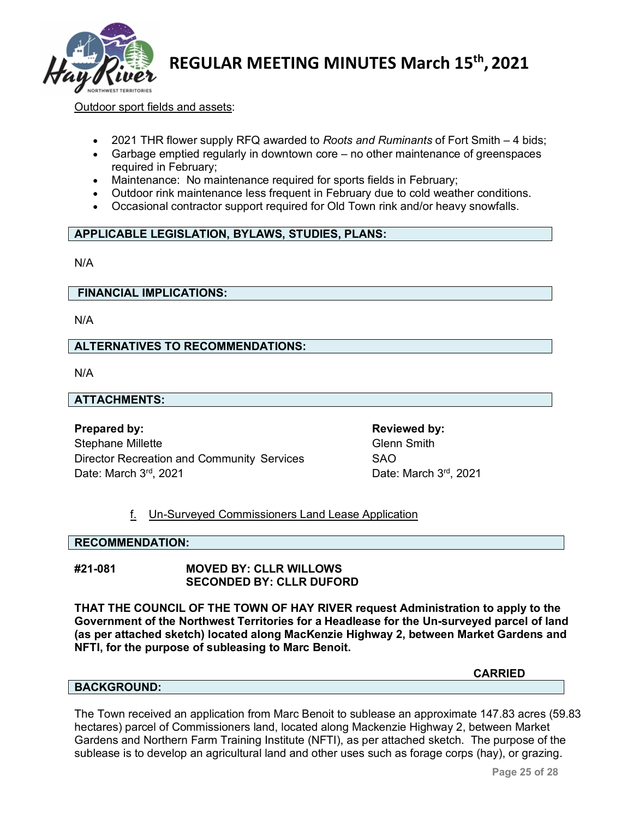

Outdoor sport fields and assets:

- 2021 THR flower supply RFQ awarded to *Roots and Ruminants* of Fort Smith 4 bids;
- Garbage emptied regularly in downtown core no other maintenance of greenspaces required in February;
- Maintenance: No maintenance required for sports fields in February;
- Outdoor rink maintenance less frequent in February due to cold weather conditions.
- Occasional contractor support required for Old Town rink and/or heavy snowfalls.

# **APPLICABLE LEGISLATION, BYLAWS, STUDIES, PLANS:**

N/A

#### **FINANCIAL IMPLICATIONS:**

N/A

### **ALTERNATIVES TO RECOMMENDATIONS:**

N/A

# **ATTACHMENTS:**

**Prepared by: Reviewed by: Reviewed by: Reviewed by:** Stephane Millette Glenn Smith Director Recreation and Community Services SAO Date: March 3<sup>rd</sup>, 2021 **Date: March 3<sup>rd</sup>, 2021** 

# f. Un-Surveyed Commissioners Land Lease Application

#### **RECOMMENDATION:**

# **#21-081 MOVED BY: CLLR WILLOWS SECONDED BY: CLLR DUFORD**

**THAT THE COUNCIL OF THE TOWN OF HAY RIVER request Administration to apply to the Government of the Northwest Territories for a Headlease for the Un-surveyed parcel of land (as per attached sketch) located along MacKenzie Highway 2, between Market Gardens and NFTI, for the purpose of subleasing to Marc Benoit.**

**CARRIED**

#### **BACKGROUND:**

The Town received an application from Marc Benoit to sublease an approximate 147.83 acres (59.83 hectares) parcel of Commissioners land, located along Mackenzie Highway 2, between Market Gardens and Northern Farm Training Institute (NFTI), as per attached sketch. The purpose of the sublease is to develop an agricultural land and other uses such as forage corps (hay), or grazing.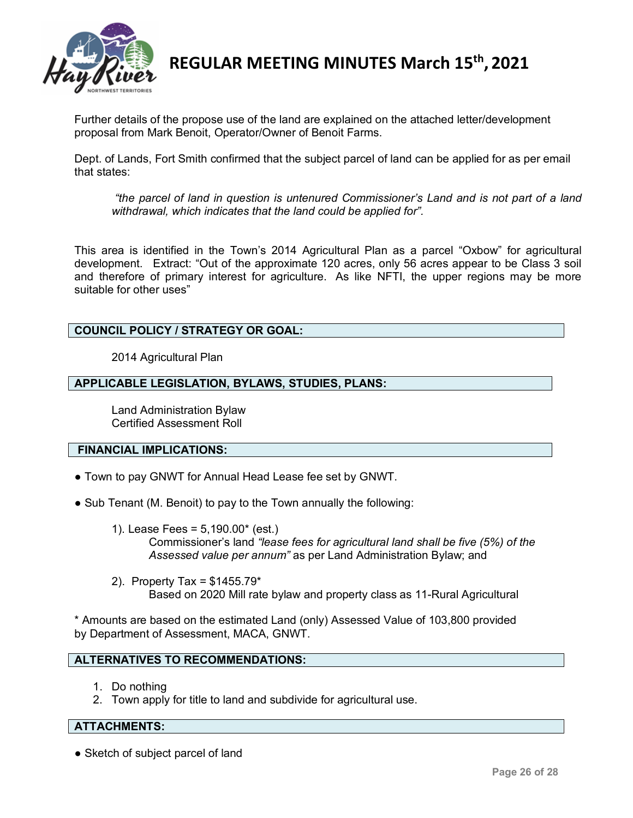

Further details of the propose use of the land are explained on the attached letter/development proposal from Mark Benoit, Operator/Owner of Benoit Farms.

Dept. of Lands, Fort Smith confirmed that the subject parcel of land can be applied for as per email that states:

*"the parcel of land in question is untenured Commissioner's Land and is not part of a land withdrawal, which indicates that the land could be applied for".*

This area is identified in the Town's 2014 Agricultural Plan as a parcel "Oxbow" for agricultural development. Extract: "Out of the approximate 120 acres, only 56 acres appear to be Class 3 soil and therefore of primary interest for agriculture. As like NFTI, the upper regions may be more suitable for other uses"

# **COUNCIL POLICY / STRATEGY OR GOAL:**

2014 Agricultural Plan

### **APPLICABLE LEGISLATION, BYLAWS, STUDIES, PLANS:**

Land Administration Bylaw Certified Assessment Roll

# **FINANCIAL IMPLICATIONS:**

- Town to pay GNWT for Annual Head Lease fee set by GNWT.
- Sub Tenant (M. Benoit) to pay to the Town annually the following:
	- 1). Lease Fees = 5,190.00\* (est.) Commissioner's land *"lease fees for agricultural land shall be five (5%) of the Assessed value per annum"* as per Land Administration Bylaw; and
	- 2). Property Tax = \$1455.79\* Based on 2020 Mill rate bylaw and property class as 11-Rural Agricultural

\* Amounts are based on the estimated Land (only) Assessed Value of 103,800 provided by Department of Assessment, MACA, GNWT.

# **ALTERNATIVES TO RECOMMENDATIONS:**

- 1. Do nothing
- 2. Town apply for title to land and subdivide for agricultural use.

#### **ATTACHMENTS:**

• Sketch of subject parcel of land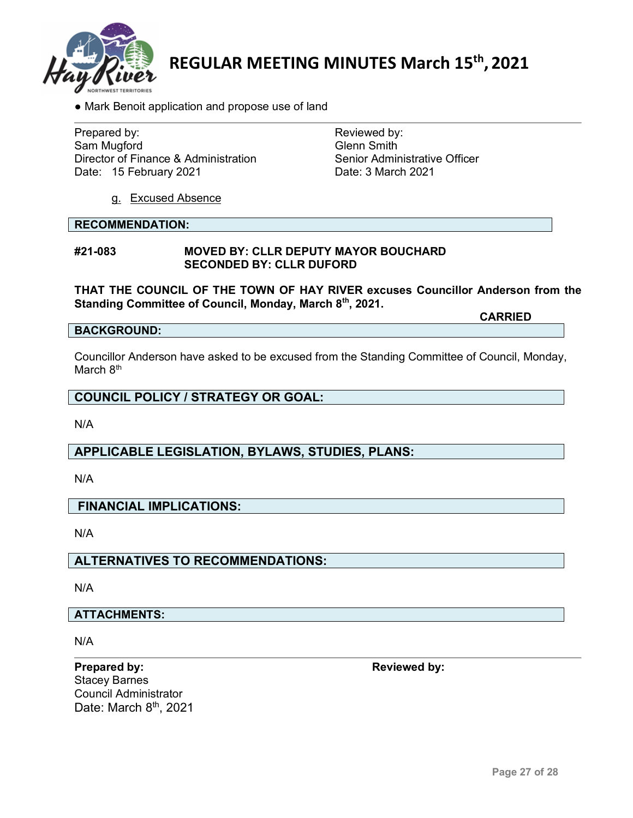

• Mark Benoit application and propose use of land

Prepared by: Reviewed by: Sam Mugford<br>Director of Finance & Administration<br>Channel Senior Administrative Officer Director of Finance & Administration Senior Administrative Corrector of Finance & Administration<br>
Date: 15 February 2021 Date: 15 February 2021

g. Excused Absence

#### **RECOMMENDATION:**

#### **#21-083 MOVED BY: CLLR DEPUTY MAYOR BOUCHARD SECONDED BY: CLLR DUFORD**

**THAT THE COUNCIL OF THE TOWN OF HAY RIVER excuses Councillor Anderson from the Standing Committee of Council, Monday, March 8th, 2021.**

**BACKGROUND:**

Councillor Anderson have asked to be excused from the Standing Committee of Council, Monday, March 8<sup>th</sup>

**COUNCIL POLICY / STRATEGY OR GOAL:**

N/A

# **APPLICABLE LEGISLATION, BYLAWS, STUDIES, PLANS:**

N/A

# **FINANCIAL IMPLICATIONS:**

N/A

# **ALTERNATIVES TO RECOMMENDATIONS:**

N/A

# **ATTACHMENTS:**

N/A

**Prepared by: Reviewed** by: Stacey Barnes Council Administrator Date: March 8<sup>th</sup>, 2021

**CARRIED**